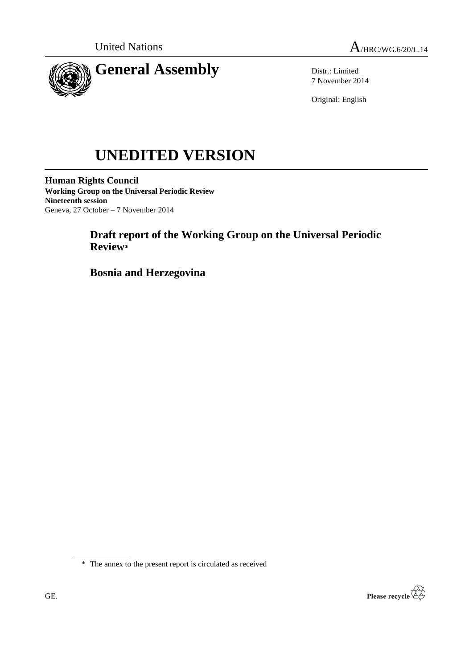



Distr.: Limited 7 November 2014

Original: English

# **UNEDITED VERSION**

**Human Rights Council Working Group on the Universal Periodic Review Nineteenth session** Geneva, 27 October – 7 November 2014

# **Draft report of the Working Group on the Universal Periodic Review\***

**Bosnia and Herzegovina**

\* The annex to the present report is circulated as received

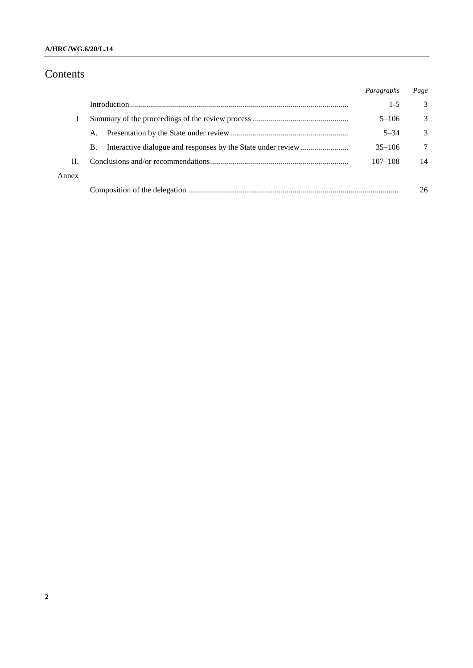## **A/HRC/WG.6/20/L.14**

# Contents

|       |           | Paragraphs  | Page |
|-------|-----------|-------------|------|
|       |           | $1 - 5$     | 3    |
|       |           | $5 - 106$   | 3    |
|       | A.        | $5 - 34$    | 3    |
|       | <b>B.</b> | $35 - 106$  | 7    |
| Н.    |           | $107 - 108$ | 14   |
| Annex |           |             |      |
|       |           |             | 26   |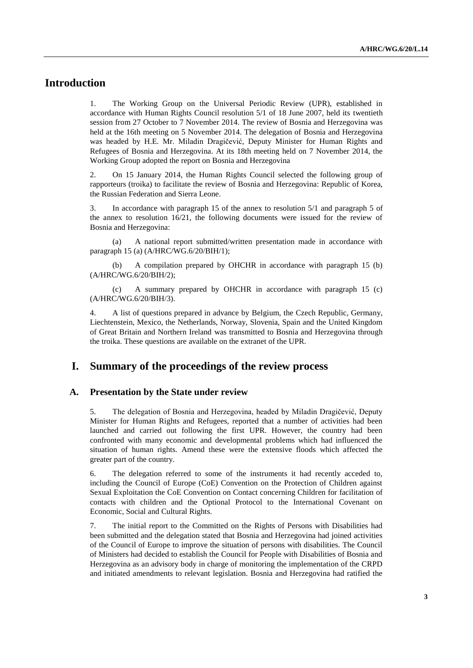# **Introduction**

1. The Working Group on the Universal Periodic Review (UPR), established in accordance with Human Rights Council resolution 5/1 of 18 June 2007, held its twentieth session from 27 October to 7 November 2014. The review of Bosnia and Herzegovina was held at the 16th meeting on 5 November 2014. The delegation of Bosnia and Herzegovina was headed by H.E. Mr. Miladin Dragičević, Deputy Minister for Human Rights and Refugees of Bosnia and Herzegovina. At its 18th meeting held on 7 November 2014, the Working Group adopted the report on Bosnia and Herzegovina

2. On 15 January 2014, the Human Rights Council selected the following group of rapporteurs (troika) to facilitate the review of Bosnia and Herzegovina: Republic of Korea, the Russian Federation and Sierra Leone.

3. In accordance with paragraph 15 of the annex to resolution 5/1 and paragraph 5 of the annex to resolution 16/21, the following documents were issued for the review of Bosnia and Herzegovina:

(a) A national report submitted/written presentation made in accordance with paragraph 15 (a) (A/HRC/WG.6/20/BIH/1);

(b) A compilation prepared by OHCHR in accordance with paragraph 15 (b) (A/HRC/WG.6/20/BIH/2);

(c) A summary prepared by OHCHR in accordance with paragraph 15 (c) (A/HRC/WG.6/20/BIH/3).

4. A list of questions prepared in advance by Belgium, the Czech Republic, Germany, Liechtenstein, Mexico, the Netherlands, Norway, Slovenia, Spain and the United Kingdom of Great Britain and Northern Ireland was transmitted to Bosnia and Herzegovina through the troika. These questions are available on the extranet of the UPR.

## **I. Summary of the proceedings of the review process**

#### **A. Presentation by the State under review**

5. The delegation of Bosnia and Herzegovina, headed by Miladin Dragičević, Deputy Minister for Human Rights and Refugees, reported that a number of activities had been launched and carried out following the first UPR. However, the country had been confronted with many economic and developmental problems which had influenced the situation of human rights. Amend these were the extensive floods which affected the greater part of the country.

6. The delegation referred to some of the instruments it had recently acceded to, including the Council of Europe (CoE) Convention on the Protection of Children against Sexual Exploitation the CoE Convention on Contact concerning Children for facilitation of contacts with children and the Optional Protocol to the International Covenant on Economic, Social and Cultural Rights.

7. The initial report to the Committed on the Rights of Persons with Disabilities had been submitted and the delegation stated that Bosnia and Herzegovina had joined activities of the Council of Europe to improve the situation of persons with disabilities. The Council of Ministers had decided to establish the Council for People with Disabilities of Bosnia and Herzegovina as an advisory body in charge of monitoring the implementation of the CRPD and initiated amendments to relevant legislation. Bosnia and Herzegovina had ratified the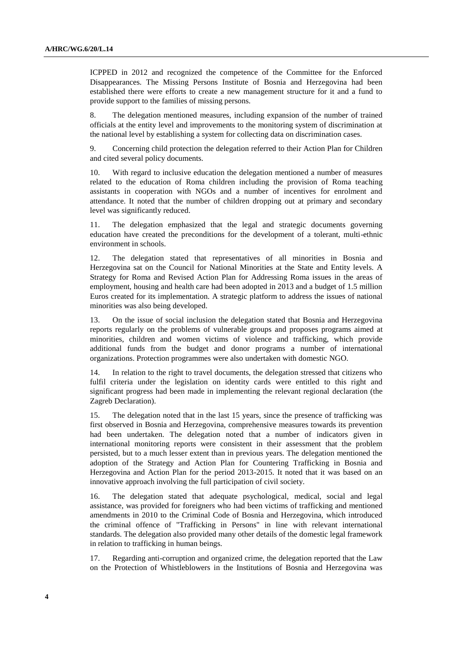ICPPED in 2012 and recognized the competence of the Committee for the Enforced Disappearances. The Missing Persons Institute of Bosnia and Herzegovina had been established there were efforts to create a new management structure for it and a fund to provide support to the families of missing persons.

8. The delegation mentioned measures, including expansion of the number of trained officials at the entity level and improvements to the monitoring system of discrimination at the national level by establishing a system for collecting data on discrimination cases.

9. Concerning child protection the delegation referred to their Action Plan for Children and cited several policy documents.

10. With regard to inclusive education the delegation mentioned a number of measures related to the education of Roma children including the provision of Roma teaching assistants in cooperation with NGOs and a number of incentives for enrolment and attendance. It noted that the number of children dropping out at primary and secondary level was significantly reduced.

11. The delegation emphasized that the legal and strategic documents governing education have created the preconditions for the development of a tolerant, multi-ethnic environment in schools.

12. The delegation stated that representatives of all minorities in Bosnia and Herzegovina sat on the Council for National Minorities at the State and Entity levels. A Strategy for Roma and Revised Action Plan for Addressing Roma issues in the areas of employment, housing and health care had been adopted in 2013 and a budget of 1.5 million Euros created for its implementation. A strategic platform to address the issues of national minorities was also being developed.

13. On the issue of social inclusion the delegation stated that Bosnia and Herzegovina reports regularly on the problems of vulnerable groups and proposes programs aimed at minorities, children and women victims of violence and trafficking, which provide additional funds from the budget and donor programs a number of international organizations. Protection programmes were also undertaken with domestic NGO.

14. In relation to the right to travel documents, the delegation stressed that citizens who fulfil criteria under the legislation on identity cards were entitled to this right and significant progress had been made in implementing the relevant regional declaration (the Zagreb Declaration).

15. The delegation noted that in the last 15 years, since the presence of trafficking was first observed in Bosnia and Herzegovina, comprehensive measures towards its prevention had been undertaken. The delegation noted that a number of indicators given in international monitoring reports were consistent in their assessment that the problem persisted, but to a much lesser extent than in previous years. The delegation mentioned the adoption of the Strategy and Action Plan for Countering Trafficking in Bosnia and Herzegovina and Action Plan for the period 2013-2015. It noted that it was based on an innovative approach involving the full participation of civil society.

16. The delegation stated that adequate psychological, medical, social and legal assistance, was provided for foreigners who had been victims of trafficking and mentioned amendments in 2010 to the Criminal Code of Bosnia and Herzegovina, which introduced the criminal offence of "Trafficking in Persons" in line with relevant international standards. The delegation also provided many other details of the domestic legal framework in relation to trafficking in human beings.

17. Regarding anti-corruption and organized crime, the delegation reported that the Law on the Protection of Whistleblowers in the Institutions of Bosnia and Herzegovina was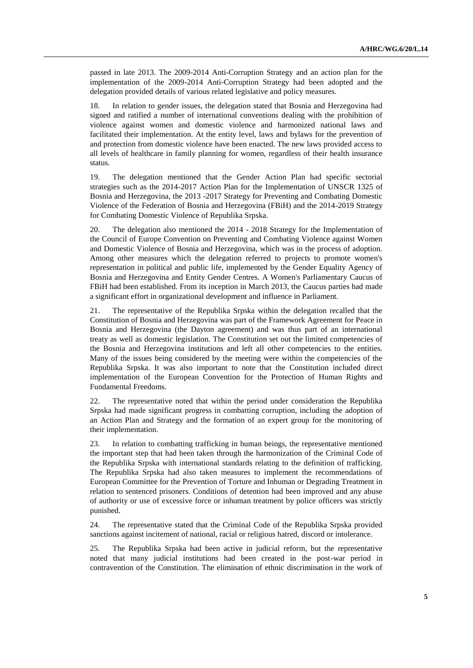passed in late 2013. The 2009-2014 Anti-Corruption Strategy and an action plan for the implementation of the 2009-2014 Anti-Corruption Strategy had been adopted and the delegation provided details of various related legislative and policy measures.

18. In relation to gender issues, the delegation stated that Bosnia and Herzegovina had signed and ratified a number of international conventions dealing with the prohibition of violence against women and domestic violence and harmonized national laws and facilitated their implementation. At the entity level, laws and bylaws for the prevention of and protection from domestic violence have been enacted. The new laws provided access to all levels of healthcare in family planning for women, regardless of their health insurance status.

19. The delegation mentioned that the Gender Action Plan had specific sectorial strategies such as the 2014-2017 Action Plan for the Implementation of UNSCR 1325 of Bosnia and Herzegovina, the 2013 -2017 Strategy for Preventing and Combating Domestic Violence of the Federation of Bosnia and Herzegovina (FBiH) and the 2014-2019 Strategy for Combating Domestic Violence of Republika Srpska.

20. The delegation also mentioned the 2014 - 2018 Strategy for the Implementation of the Council of Europe Convention on Preventing and Combating Violence against Women and Domestic Violence of Bosnia and Herzegovina, which was in the process of adoption. Among other measures which the delegation referred to projects to promote women's representation in political and public life, implemented by the Gender Equality Agency of Bosnia and Herzegovina and Entity Gender Centres. A Women's Parliamentary Caucus of FBiH had been established. From its inception in March 2013, the Caucus parties had made a significant effort in organizational development and influence in Parliament.

21. The representative of the Republika Srpska within the delegation recalled that the Constitution of Bosnia and Herzegovina was part of the Framework Agreement for Peace in Bosnia and Herzegovina (the Dayton agreement) and was thus part of an international treaty as well as domestic legislation. The Constitution set out the limited competencies of the Bosnia and Herzegovina institutions and left all other competencies to the entities. Many of the issues being considered by the meeting were within the competencies of the Republika Srpska. It was also important to note that the Constitution included direct implementation of the European Convention for the Protection of Human Rights and Fundamental Freedoms.

22. The representative noted that within the period under consideration the Republika Srpska had made significant progress in combatting corruption, including the adoption of an Action Plan and Strategy and the formation of an expert group for the monitoring of their implementation.

23. In relation to combatting trafficking in human beings, the representative mentioned the important step that had been taken through the harmonization of the Criminal Code of the Republika Srpska with international standards relating to the definition of trafficking. The Republika Srpska had also taken measures to implement the recommendations of European Committee for the Prevention of Torture and Inhuman or Degrading Treatment in relation to sentenced prisoners. Conditions of detention had been improved and any abuse of authority or use of excessive force or inhuman treatment by police officers was strictly punished.

24. The representative stated that the Criminal Code of the Republika Srpska provided sanctions against incitement of national, racial or religious hatred, discord or intolerance.

25. The Republika Srpska had been active in judicial reform, but the representative noted that many judicial institutions had been created in the post-war period in contravention of the Constitution. The elimination of ethnic discrimination in the work of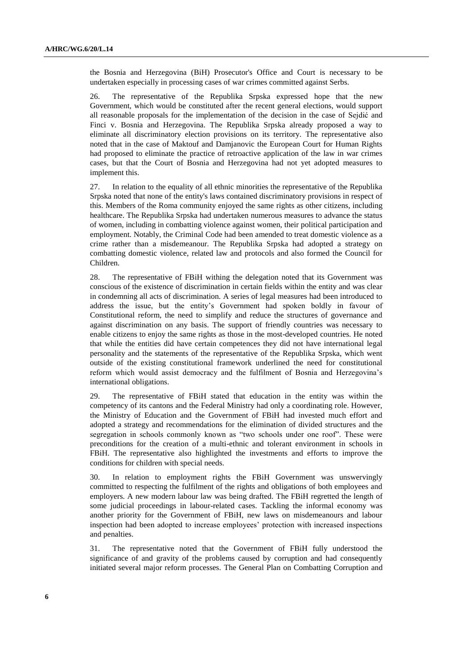the Bosnia and Herzegovina (BiH) Prosecutor's Office and Court is necessary to be undertaken especially in processing cases of war crimes committed against Serbs.

26. The representative of the Republika Srpska expressed hope that the new Government, which would be constituted after the recent general elections, would support all reasonable proposals for the implementation of the decision in the case of Sejdić and Finci v. Bosnia and Herzegovina. The Republika Srpska already proposed a way to eliminate all discriminatory election provisions on its territory. The representative also noted that in the case of Maktouf and Damjanovic the European Court for Human Rights had proposed to eliminate the practice of retroactive application of the law in war crimes cases, but that the Court of Bosnia and Herzegovina had not yet adopted measures to implement this.

27. In relation to the equality of all ethnic minorities the representative of the Republika Srpska noted that none of the entity's laws contained discriminatory provisions in respect of this. Members of the Roma community enjoyed the same rights as other citizens, including healthcare. The Republika Srpska had undertaken numerous measures to advance the status of women, including in combatting violence against women, their political participation and employment. Notably, the Criminal Code had been amended to treat domestic violence as a crime rather than a misdemeanour. The Republika Srpska had adopted a strategy on combatting domestic violence, related law and protocols and also formed the Council for Children.

28. The representative of FBiH withing the delegation noted that its Government was conscious of the existence of discrimination in certain fields within the entity and was clear in condemning all acts of discrimination. A series of legal measures had been introduced to address the issue, but the entity's Government had spoken boldly in favour of Constitutional reform, the need to simplify and reduce the structures of governance and against discrimination on any basis. The support of friendly countries was necessary to enable citizens to enjoy the same rights as those in the most-developed countries. He noted that while the entities did have certain competences they did not have international legal personality and the statements of the representative of the Republika Srpska, which went outside of the existing constitutional framework underlined the need for constitutional reform which would assist democracy and the fulfilment of Bosnia and Herzegovina's international obligations.

29. The representative of FBiH stated that education in the entity was within the competency of its cantons and the Federal Ministry had only a coordinating role. However, the Ministry of Education and the Government of FBiH had invested much effort and adopted a strategy and recommendations for the elimination of divided structures and the segregation in schools commonly known as "two schools under one roof". These were preconditions for the creation of a multi-ethnic and tolerant environment in schools in FBiH. The representative also highlighted the investments and efforts to improve the conditions for children with special needs.

30. In relation to employment rights the FBiH Government was unswervingly committed to respecting the fulfilment of the rights and obligations of both employees and employers. A new modern labour law was being drafted. The FBiH regretted the length of some judicial proceedings in labour-related cases. Tackling the informal economy was another priority for the Government of FBiH, new laws on misdemeanours and labour inspection had been adopted to increase employees' protection with increased inspections and penalties.

31. The representative noted that the Government of FBiH fully understood the significance of and gravity of the problems caused by corruption and had consequently initiated several major reform processes. The General Plan on Combatting Corruption and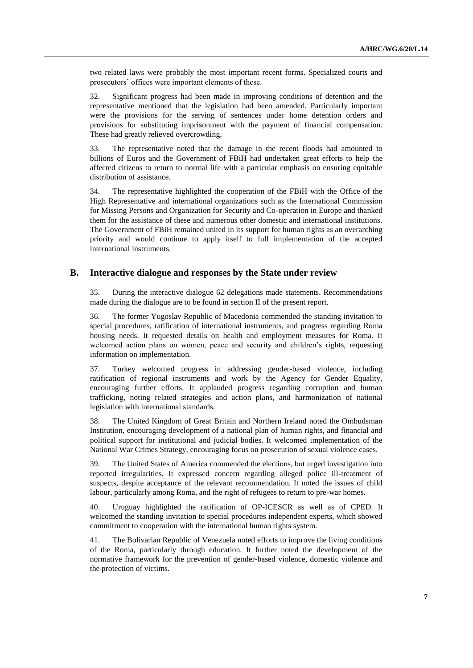two related laws were probably the most important recent forms. Specialized courts and prosecutors' offices were important elements of these.

32. Significant progress had been made in improving conditions of detention and the representative mentioned that the legislation had been amended. Particularly important were the provisions for the serving of sentences under home detention orders and provisions for substituting imprisonment with the payment of financial compensation. These had greatly relieved overcrowding.

33. The representative noted that the damage in the recent floods had amounted to billions of Euros and the Government of FBiH had undertaken great efforts to help the affected citizens to return to normal life with a particular emphasis on ensuring equitable distribution of assistance.

34. The representative highlighted the cooperation of the FBiH with the Office of the High Representative and international organizations such as the International Commission for Missing Persons and Organization for Security and Co-operation in Europe and thanked them for the assistance of these and numerous other domestic and international institutions. The Government of FBiH remained united in its support for human rights as an overarching priority and would continue to apply itself to full implementation of the accepted international instruments.

### **B. Interactive dialogue and responses by the State under review**

35. During the interactive dialogue 62 delegations made statements. Recommendations made during the dialogue are to be found in section II of the present report.

36. The former Yugoslav Republic of Macedonia commended the standing invitation to special procedures, ratification of international instruments, and progress regarding Roma housing needs. It requested details on health and employment measures for Roma. It welcomed action plans on women, peace and security and children's rights, requesting information on implementation.

37. Turkey welcomed progress in addressing gender-based violence, including ratification of regional instruments and work by the Agency for Gender Equality, encouraging further efforts. It applauded progress regarding corruption and human trafficking, noting related strategies and action plans, and harmonization of national legislation with international standards.

38. The United Kingdom of Great Britain and Northern Ireland noted the Ombudsman Institution, encouraging development of a national plan of human rights, and financial and political support for institutional and judicial bodies. It welcomed implementation of the National War Crimes Strategy, encouraging focus on prosecution of sexual violence cases.

39. The United States of America commended the elections, but urged investigation into reported irregularities. It expressed concern regarding alleged police ill-treatment of suspects, despite acceptance of the relevant recommendation. It noted the issues of child labour, particularly among Roma, and the right of refugees to return to pre-war homes.

40. Uruguay highlighted the ratification of OP-ICESCR as well as of CPED. It welcomed the standing invitation to special procedures independent experts, which showed commitment to cooperation with the international human rights system.

41. The Bolivarian Republic of Venezuela noted efforts to improve the living conditions of the Roma, particularly through education. It further noted the development of the normative framework for the prevention of gender-based violence, domestic violence and the protection of victims.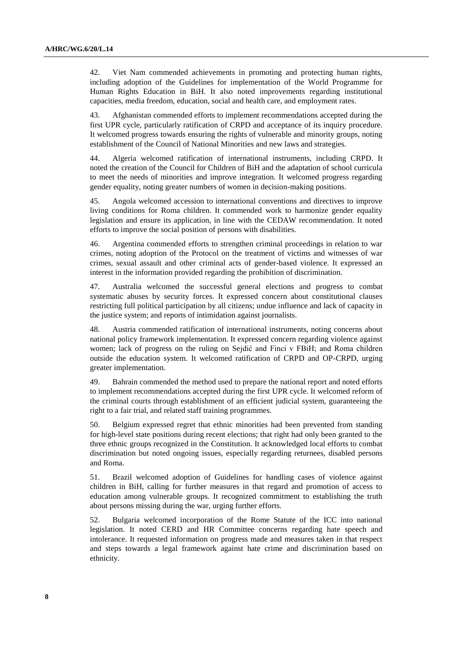42. Viet Nam commended achievements in promoting and protecting human rights, including adoption of the Guidelines for implementation of the World Programme for Human Rights Education in BiH. It also noted improvements regarding institutional capacities, media freedom, education, social and health care, and employment rates.

43. Afghanistan commended efforts to implement recommendations accepted during the first UPR cycle, particularly ratification of CRPD and acceptance of its inquiry procedure. It welcomed progress towards ensuring the rights of vulnerable and minority groups, noting establishment of the Council of National Minorities and new laws and strategies.

44. Algeria welcomed ratification of international instruments, including CRPD. It noted the creation of the Council for Children of BiH and the adaptation of school curricula to meet the needs of minorities and improve integration. It welcomed progress regarding gender equality, noting greater numbers of women in decision-making positions.

45. Angola welcomed accession to international conventions and directives to improve living conditions for Roma children. It commended work to harmonize gender equality legislation and ensure its application, in line with the CEDAW recommendation. It noted efforts to improve the social position of persons with disabilities.

46. Argentina commended efforts to strengthen criminal proceedings in relation to war crimes, noting adoption of the Protocol on the treatment of victims and witnesses of war crimes, sexual assault and other criminal acts of gender-based violence. It expressed an interest in the information provided regarding the prohibition of discrimination.

47. Australia welcomed the successful general elections and progress to combat systematic abuses by security forces. It expressed concern about constitutional clauses restricting full political participation by all citizens; undue influence and lack of capacity in the justice system; and reports of intimidation against journalists.

48. Austria commended ratification of international instruments, noting concerns about national policy framework implementation. It expressed concern regarding violence against women; lack of progress on the ruling on Sejdić and Finci v FBiH; and Roma children outside the education system. It welcomed ratification of CRPD and OP-CRPD, urging greater implementation.

49. Bahrain commended the method used to prepare the national report and noted efforts to implement recommendations accepted during the first UPR cycle. It welcomed reform of the criminal courts through establishment of an efficient judicial system, guaranteeing the right to a fair trial, and related staff training programmes.

50. Belgium expressed regret that ethnic minorities had been prevented from standing for high-level state positions during recent elections; that right had only been granted to the three ethnic groups recognized in the Constitution. It acknowledged local efforts to combat discrimination but noted ongoing issues, especially regarding returnees, disabled persons and Roma.

51. Brazil welcomed adoption of Guidelines for handling cases of violence against children in BiH, calling for further measures in that regard and promotion of access to education among vulnerable groups. It recognized commitment to establishing the truth about persons missing during the war, urging further efforts.

52. Bulgaria welcomed incorporation of the Rome Statute of the ICC into national legislation. It noted CERD and HR Committee concerns regarding hate speech and intolerance. It requested information on progress made and measures taken in that respect and steps towards a legal framework against hate crime and discrimination based on ethnicity.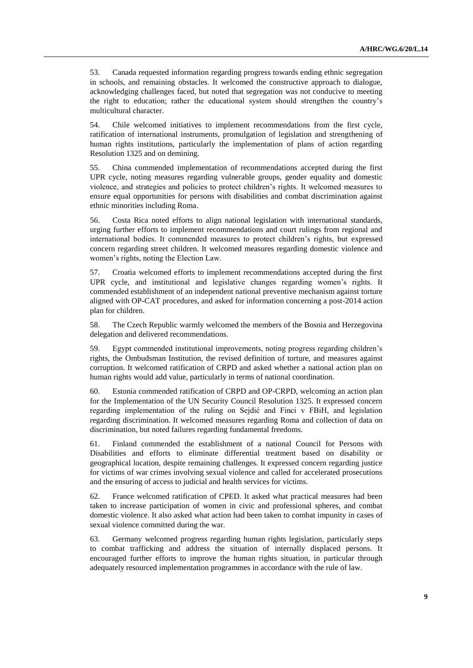53. Canada requested information regarding progress towards ending ethnic segregation in schools, and remaining obstacles. It welcomed the constructive approach to dialogue, acknowledging challenges faced, but noted that segregation was not conducive to meeting the right to education; rather the educational system should strengthen the country's multicultural character.

54. Chile welcomed initiatives to implement recommendations from the first cycle, ratification of international instruments, promulgation of legislation and strengthening of human rights institutions, particularly the implementation of plans of action regarding Resolution 1325 and on demining.

55. China commended implementation of recommendations accepted during the first UPR cycle, noting measures regarding vulnerable groups, gender equality and domestic violence, and strategies and policies to protect children's rights. It welcomed measures to ensure equal opportunities for persons with disabilities and combat discrimination against ethnic minorities including Roma.

56. Costa Rica noted efforts to align national legislation with international standards, urging further efforts to implement recommendations and court rulings from regional and international bodies. It commended measures to protect children's rights, but expressed concern regarding street children. It welcomed measures regarding domestic violence and women's rights, noting the Election Law.

57. Croatia welcomed efforts to implement recommendations accepted during the first UPR cycle, and institutional and legislative changes regarding women's rights. It commended establishment of an independent national preventive mechanism against torture aligned with OP-CAT procedures, and asked for information concerning a post-2014 action plan for children.

58. The Czech Republic warmly welcomed the members of the Bosnia and Herzegovina delegation and delivered recommendations.

59. Egypt commended institutional improvements, noting progress regarding children's rights, the Ombudsman Institution, the revised definition of torture, and measures against corruption. It welcomed ratification of CRPD and asked whether a national action plan on human rights would add value, particularly in terms of national coordination.

60. Estonia commended ratification of CRPD and OP-CRPD, welcoming an action plan for the Implementation of the UN Security Council Resolution 1325. It expressed concern regarding implementation of the ruling on Sejdić and Finci v FBiH, and legislation regarding discrimination. It welcomed measures regarding Roma and collection of data on discrimination, but noted failures regarding fundamental freedoms.

61. Finland commended the establishment of a national Council for Persons with Disabilities and efforts to eliminate differential treatment based on disability or geographical location, despite remaining challenges. It expressed concern regarding justice for victims of war crimes involving sexual violence and called for accelerated prosecutions and the ensuring of access to judicial and health services for victims.

62. France welcomed ratification of CPED. It asked what practical measures had been taken to increase participation of women in civic and professional spheres, and combat domestic violence. It also asked what action had been taken to combat impunity in cases of sexual violence committed during the war.

63. Germany welcomed progress regarding human rights legislation, particularly steps to combat trafficking and address the situation of internally displaced persons. It encouraged further efforts to improve the human rights situation, in particular through adequately resourced implementation programmes in accordance with the rule of law.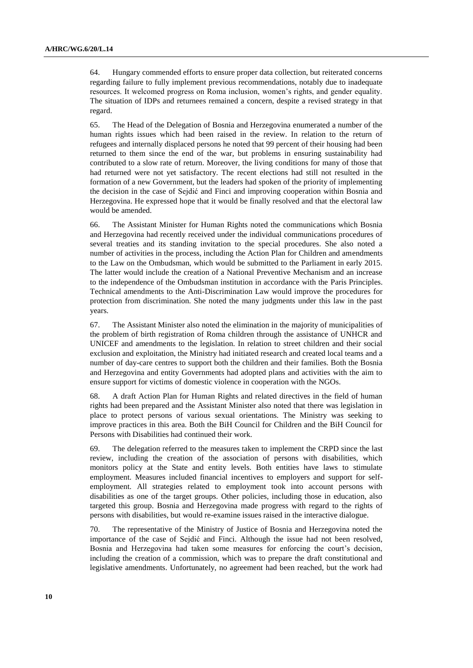64. Hungary commended efforts to ensure proper data collection, but reiterated concerns regarding failure to fully implement previous recommendations, notably due to inadequate resources. It welcomed progress on Roma inclusion, women's rights, and gender equality. The situation of IDPs and returnees remained a concern, despite a revised strategy in that regard.

65. The Head of the Delegation of Bosnia and Herzegovina enumerated a number of the human rights issues which had been raised in the review. In relation to the return of refugees and internally displaced persons he noted that 99 percent of their housing had been returned to them since the end of the war, but problems in ensuring sustainability had contributed to a slow rate of return. Moreover, the living conditions for many of those that had returned were not yet satisfactory. The recent elections had still not resulted in the formation of a new Government, but the leaders had spoken of the priority of implementing the decision in the case of Sejdić and Finci and improving cooperation within Bosnia and Herzegovina. He expressed hope that it would be finally resolved and that the electoral law would be amended.

66. The Assistant Minister for Human Rights noted the communications which Bosnia and Herzegovina had recently received under the individual communications procedures of several treaties and its standing invitation to the special procedures. She also noted a number of activities in the process, including the Action Plan for Children and amendments to the Law on the Ombudsman, which would be submitted to the Parliament in early 2015. The latter would include the creation of a National Preventive Mechanism and an increase to the independence of the Ombudsman institution in accordance with the Paris Principles. Technical amendments to the Anti-Discrimination Law would improve the procedures for protection from discrimination. She noted the many judgments under this law in the past years.

67. The Assistant Minister also noted the elimination in the majority of municipalities of the problem of birth registration of Roma children through the assistance of UNHCR and UNICEF and amendments to the legislation. In relation to street children and their social exclusion and exploitation, the Ministry had initiated research and created local teams and a number of day-care centres to support both the children and their families. Both the Bosnia and Herzegovina and entity Governments had adopted plans and activities with the aim to ensure support for victims of domestic violence in cooperation with the NGOs.

68. A draft Action Plan for Human Rights and related directives in the field of human rights had been prepared and the Assistant Minister also noted that there was legislation in place to protect persons of various sexual orientations. The Ministry was seeking to improve practices in this area. Both the BiH Council for Children and the BiH Council for Persons with Disabilities had continued their work.

69. The delegation referred to the measures taken to implement the CRPD since the last review, including the creation of the association of persons with disabilities, which monitors policy at the State and entity levels. Both entities have laws to stimulate employment. Measures included financial incentives to employers and support for selfemployment. All strategies related to employment took into account persons with disabilities as one of the target groups. Other policies, including those in education, also targeted this group. Bosnia and Herzegovina made progress with regard to the rights of persons with disabilities, but would re-examine issues raised in the interactive dialogue.

70. The representative of the Ministry of Justice of Bosnia and Herzegovina noted the importance of the case of Sejdić and Finci. Although the issue had not been resolved, Bosnia and Herzegovina had taken some measures for enforcing the court's decision, including the creation of a commission, which was to prepare the draft constitutional and legislative amendments. Unfortunately, no agreement had been reached, but the work had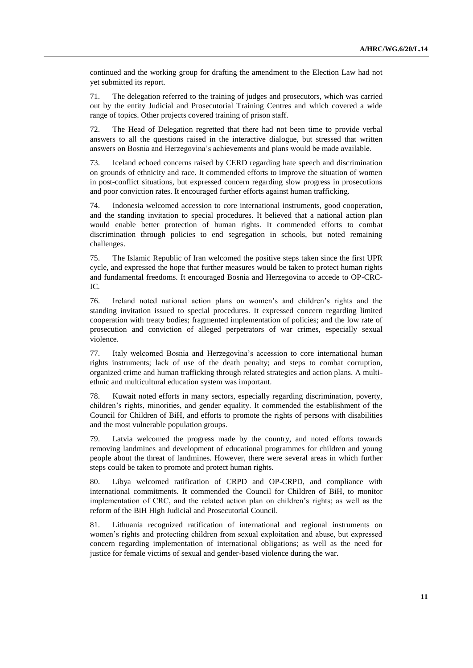continued and the working group for drafting the amendment to the Election Law had not yet submitted its report.

71. The delegation referred to the training of judges and prosecutors, which was carried out by the entity Judicial and Prosecutorial Training Centres and which covered a wide range of topics. Other projects covered training of prison staff.

72. The Head of Delegation regretted that there had not been time to provide verbal answers to all the questions raised in the interactive dialogue, but stressed that written answers on Bosnia and Herzegovina's achievements and plans would be made available.

73. Iceland echoed concerns raised by CERD regarding hate speech and discrimination on grounds of ethnicity and race. It commended efforts to improve the situation of women in post-conflict situations, but expressed concern regarding slow progress in prosecutions and poor conviction rates. It encouraged further efforts against human trafficking.

74. Indonesia welcomed accession to core international instruments, good cooperation, and the standing invitation to special procedures. It believed that a national action plan would enable better protection of human rights. It commended efforts to combat discrimination through policies to end segregation in schools, but noted remaining challenges.

75. The Islamic Republic of Iran welcomed the positive steps taken since the first UPR cycle, and expressed the hope that further measures would be taken to protect human rights and fundamental freedoms. It encouraged Bosnia and Herzegovina to accede to OP-CRC-IC.

76. Ireland noted national action plans on women's and children's rights and the standing invitation issued to special procedures. It expressed concern regarding limited cooperation with treaty bodies; fragmented implementation of policies; and the low rate of prosecution and conviction of alleged perpetrators of war crimes, especially sexual violence.

77. Italy welcomed Bosnia and Herzegovina's accession to core international human rights instruments; lack of use of the death penalty; and steps to combat corruption, organized crime and human trafficking through related strategies and action plans. A multiethnic and multicultural education system was important.

78. Kuwait noted efforts in many sectors, especially regarding discrimination, poverty, children's rights, minorities, and gender equality. It commended the establishment of the Council for Children of BiH, and efforts to promote the rights of persons with disabilities and the most vulnerable population groups.

79. Latvia welcomed the progress made by the country, and noted efforts towards removing landmines and development of educational programmes for children and young people about the threat of landmines. However, there were several areas in which further steps could be taken to promote and protect human rights.

80. Libya welcomed ratification of CRPD and OP-CRPD, and compliance with international commitments. It commended the Council for Children of BiH, to monitor implementation of CRC, and the related action plan on children's rights; as well as the reform of the BiH High Judicial and Prosecutorial Council.

81. Lithuania recognized ratification of international and regional instruments on women's rights and protecting children from sexual exploitation and abuse, but expressed concern regarding implementation of international obligations; as well as the need for justice for female victims of sexual and gender-based violence during the war.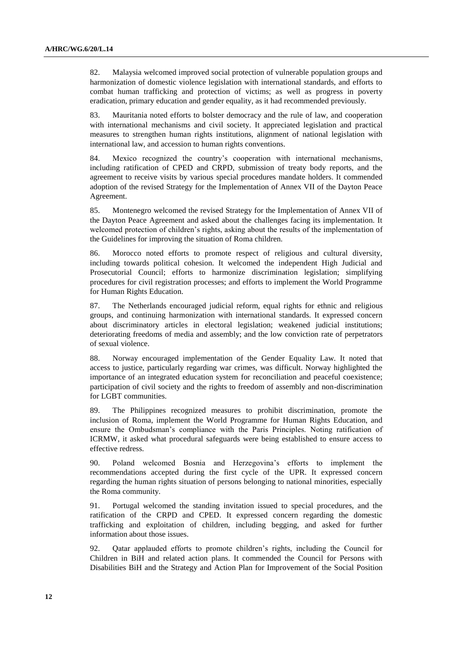82. Malaysia welcomed improved social protection of vulnerable population groups and harmonization of domestic violence legislation with international standards, and efforts to combat human trafficking and protection of victims; as well as progress in poverty eradication, primary education and gender equality, as it had recommended previously.

83. Mauritania noted efforts to bolster democracy and the rule of law, and cooperation with international mechanisms and civil society. It appreciated legislation and practical measures to strengthen human rights institutions, alignment of national legislation with international law, and accession to human rights conventions.

84. Mexico recognized the country's cooperation with international mechanisms, including ratification of CPED and CRPD, submission of treaty body reports, and the agreement to receive visits by various special procedures mandate holders. It commended adoption of the revised Strategy for the Implementation of Annex VII of the Dayton Peace Agreement.

85. Montenegro welcomed the revised Strategy for the Implementation of Annex VII of the Dayton Peace Agreement and asked about the challenges facing its implementation. It welcomed protection of children's rights, asking about the results of the implementation of the Guidelines for improving the situation of Roma children.

86. Morocco noted efforts to promote respect of religious and cultural diversity, including towards political cohesion. It welcomed the independent High Judicial and Prosecutorial Council; efforts to harmonize discrimination legislation; simplifying procedures for civil registration processes; and efforts to implement the World Programme for Human Rights Education.

87. The Netherlands encouraged judicial reform, equal rights for ethnic and religious groups, and continuing harmonization with international standards. It expressed concern about discriminatory articles in electoral legislation; weakened judicial institutions; deteriorating freedoms of media and assembly; and the low conviction rate of perpetrators of sexual violence.

88. Norway encouraged implementation of the Gender Equality Law. It noted that access to justice, particularly regarding war crimes, was difficult. Norway highlighted the importance of an integrated education system for reconciliation and peaceful coexistence; participation of civil society and the rights to freedom of assembly and non-discrimination for LGBT communities.

89. The Philippines recognized measures to prohibit discrimination, promote the inclusion of Roma, implement the World Programme for Human Rights Education, and ensure the Ombudsman's compliance with the Paris Principles. Noting ratification of ICRMW, it asked what procedural safeguards were being established to ensure access to effective redress.

90. Poland welcomed Bosnia and Herzegovina's efforts to implement the recommendations accepted during the first cycle of the UPR. It expressed concern regarding the human rights situation of persons belonging to national minorities, especially the Roma community.

91. Portugal welcomed the standing invitation issued to special procedures, and the ratification of the CRPD and CPED. It expressed concern regarding the domestic trafficking and exploitation of children, including begging, and asked for further information about those issues.

92. Qatar applauded efforts to promote children's rights, including the Council for Children in BiH and related action plans. It commended the Council for Persons with Disabilities BiH and the Strategy and Action Plan for Improvement of the Social Position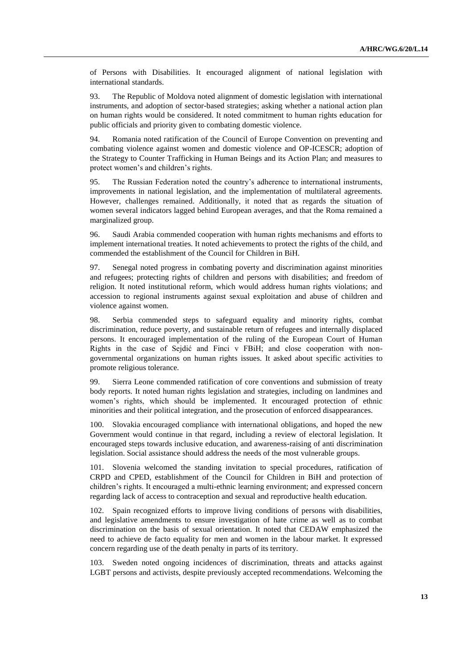of Persons with Disabilities. It encouraged alignment of national legislation with international standards.

93. The Republic of Moldova noted alignment of domestic legislation with international instruments, and adoption of sector-based strategies; asking whether a national action plan on human rights would be considered. It noted commitment to human rights education for public officials and priority given to combating domestic violence.

94. Romania noted ratification of the Council of Europe Convention on preventing and combating violence against women and domestic violence and OP-ICESCR; adoption of the Strategy to Counter Trafficking in Human Beings and its Action Plan; and measures to protect women's and children's rights.

95. The Russian Federation noted the country's adherence to international instruments, improvements in national legislation, and the implementation of multilateral agreements. However, challenges remained. Additionally, it noted that as regards the situation of women several indicators lagged behind European averages, and that the Roma remained a marginalized group.

96. Saudi Arabia commended cooperation with human rights mechanisms and efforts to implement international treaties. It noted achievements to protect the rights of the child, and commended the establishment of the Council for Children in BiH.

97. Senegal noted progress in combating poverty and discrimination against minorities and refugees; protecting rights of children and persons with disabilities; and freedom of religion. It noted institutional reform, which would address human rights violations; and accession to regional instruments against sexual exploitation and abuse of children and violence against women.

98. Serbia commended steps to safeguard equality and minority rights, combat discrimination, reduce poverty, and sustainable return of refugees and internally displaced persons. It encouraged implementation of the ruling of the European Court of Human Rights in the case of Sejdić and Finci v FBiH; and close cooperation with nongovernmental organizations on human rights issues. It asked about specific activities to promote religious tolerance.

99. Sierra Leone commended ratification of core conventions and submission of treaty body reports. It noted human rights legislation and strategies, including on landmines and women's rights, which should be implemented. It encouraged protection of ethnic minorities and their political integration, and the prosecution of enforced disappearances.

100. Slovakia encouraged compliance with international obligations, and hoped the new Government would continue in that regard, including a review of electoral legislation. It encouraged steps towards inclusive education, and awareness-raising of anti discrimination legislation. Social assistance should address the needs of the most vulnerable groups.

101. Slovenia welcomed the standing invitation to special procedures, ratification of CRPD and CPED, establishment of the Council for Children in BiH and protection of children's rights. It encouraged a multi-ethnic learning environment; and expressed concern regarding lack of access to contraception and sexual and reproductive health education.

102. Spain recognized efforts to improve living conditions of persons with disabilities, and legislative amendments to ensure investigation of hate crime as well as to combat discrimination on the basis of sexual orientation. It noted that CEDAW emphasized the need to achieve de facto equality for men and women in the labour market. It expressed concern regarding use of the death penalty in parts of its territory.

103. Sweden noted ongoing incidences of discrimination, threats and attacks against LGBT persons and activists, despite previously accepted recommendations. Welcoming the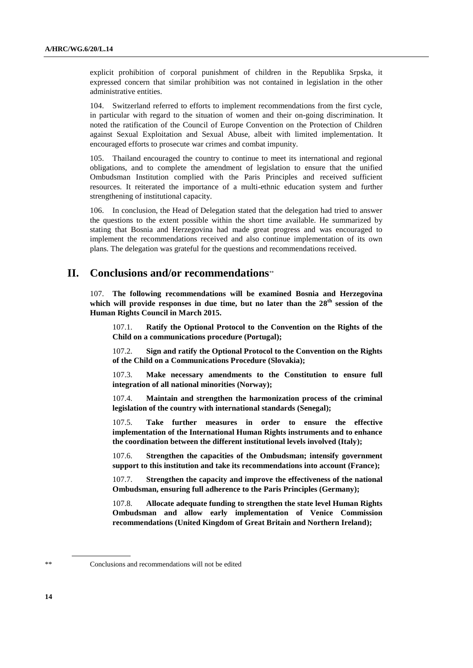explicit prohibition of corporal punishment of children in the Republika Srpska, it expressed concern that similar prohibition was not contained in legislation in the other administrative entities.

104. Switzerland referred to efforts to implement recommendations from the first cycle, in particular with regard to the situation of women and their on-going discrimination. It noted the ratification of the Council of Europe Convention on the Protection of Children against Sexual Exploitation and Sexual Abuse, albeit with limited implementation. It encouraged efforts to prosecute war crimes and combat impunity.

105. Thailand encouraged the country to continue to meet its international and regional obligations, and to complete the amendment of legislation to ensure that the unified Ombudsman Institution complied with the Paris Principles and received sufficient resources. It reiterated the importance of a multi-ethnic education system and further strengthening of institutional capacity.

106. In conclusion, the Head of Delegation stated that the delegation had tried to answer the questions to the extent possible within the short time available. He summarized by stating that Bosnia and Herzegovina had made great progress and was encouraged to implement the recommendations received and also continue implementation of its own plans. The delegation was grateful for the questions and recommendations received.

## **II. Conclusions and/or recommendations**

107. **The following recommendations will be examined Bosnia and Herzegovina** which will provide responses in due time, but no later than the 28<sup>th</sup> session of the **Human Rights Council in March 2015.**

107.1. **Ratify the Optional Protocol to the Convention on the Rights of the Child on a communications procedure (Portugal);** 

107.2. **Sign and ratify the Optional Protocol to the Convention on the Rights of the Child on a Communications Procedure (Slovakia);** 

107.3. **Make necessary amendments to the Constitution to ensure full integration of all national minorities (Norway);** 

107.4. **Maintain and strengthen the harmonization process of the criminal legislation of the country with international standards (Senegal);** 

107.5. **Take further measures in order to ensure the effective implementation of the International Human Rights instruments and to enhance the coordination between the different institutional levels involved (Italy);** 

107.6. **Strengthen the capacities of the Ombudsman; intensify government support to this institution and take its recommendations into account (France);**

107.7. **Strengthen the capacity and improve the effectiveness of the national Ombudsman, ensuring full adherence to the Paris Principles (Germany);** 

107.8. **Allocate adequate funding to strengthen the state level Human Rights Ombudsman and allow early implementation of Venice Commission recommendations (United Kingdom of Great Britain and Northern Ireland);** 

Conclusions and recommendations will not be edited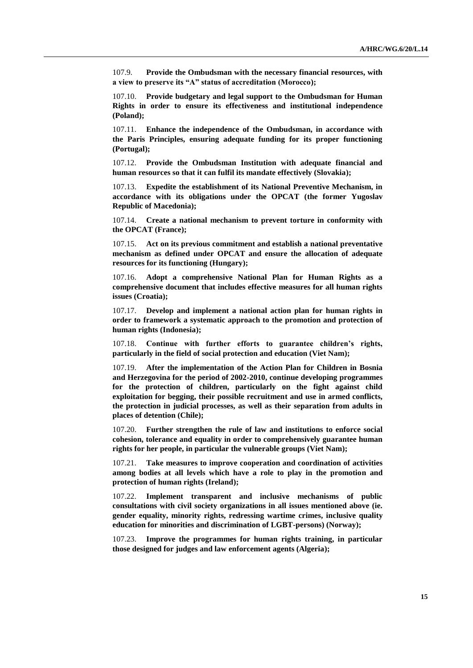107.9. **Provide the Ombudsman with the necessary financial resources, with a view to preserve its "A" status of accreditation (Morocco);** 

107.10. **Provide budgetary and legal support to the Ombudsman for Human Rights in order to ensure its effectiveness and institutional independence (Poland);** 

107.11. **Enhance the independence of the Ombudsman, in accordance with the Paris Principles, ensuring adequate funding for its proper functioning (Portugal);** 

107.12. **Provide the Ombudsman Institution with adequate financial and human resources so that it can fulfil its mandate effectively (Slovakia);** 

**Expedite the establishment of its National Preventive Mechanism, in accordance with its obligations under the OPCAT (the former Yugoslav Republic of Macedonia);** 

107.14. **Create a national mechanism to prevent torture in conformity with the OPCAT (France);**

107.15. **Act on its previous commitment and establish a national preventative mechanism as defined under OPCAT and ensure the allocation of adequate resources for its functioning (Hungary);** 

107.16. **Adopt a comprehensive National Plan for Human Rights as a comprehensive document that includes effective measures for all human rights issues (Croatia);** 

107.17. **Develop and implement a national action plan for human rights in order to framework a systematic approach to the promotion and protection of human rights (Indonesia);** 

107.18. **Continue with further efforts to guarantee children's rights, particularly in the field of social protection and education (Viet Nam);** 

107.19. **After the implementation of the Action Plan for Children in Bosnia and Herzegovina for the period of 2002-2010, continue developing programmes for the protection of children, particularly on the fight against child exploitation for begging, their possible recruitment and use in armed conflicts, the protection in judicial processes, as well as their separation from adults in places of detention (Chile);** 

107.20. **Further strengthen the rule of law and institutions to enforce social cohesion, tolerance and equality in order to comprehensively guarantee human rights for her people, in particular the vulnerable groups (Viet Nam);** 

107.21. **Take measures to improve cooperation and coordination of activities among bodies at all levels which have a role to play in the promotion and protection of human rights (Ireland);** 

107.22. **Implement transparent and inclusive mechanisms of public consultations with civil society organizations in all issues mentioned above (ie. gender equality, minority rights, redressing wartime crimes, inclusive quality education for minorities and discrimination of LGBT-persons) (Norway);**

107.23. **Improve the programmes for human rights training, in particular those designed for judges and law enforcement agents (Algeria);**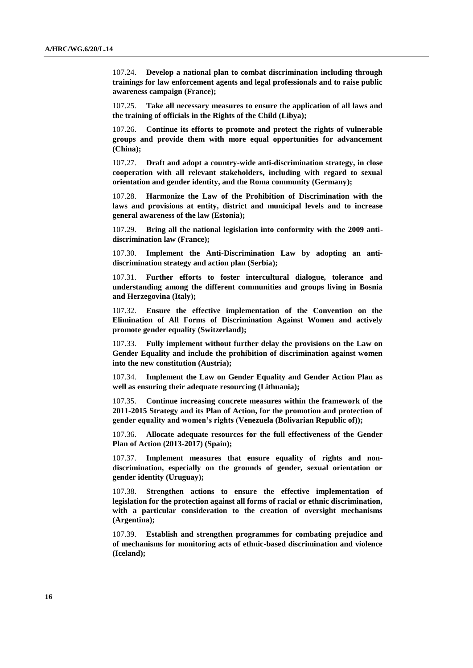107.24. **Develop a national plan to combat discrimination including through trainings for law enforcement agents and legal professionals and to raise public awareness campaign (France);**

107.25. **Take all necessary measures to ensure the application of all laws and the training of officials in the Rights of the Child (Libya);**

107.26. **Continue its efforts to promote and protect the rights of vulnerable groups and provide them with more equal opportunities for advancement (China);** 

107.27. **Draft and adopt a country-wide anti-discrimination strategy, in close cooperation with all relevant stakeholders, including with regard to sexual orientation and gender identity, and the Roma community (Germany);** 

107.28. **Harmonize the Law of the Prohibition of Discrimination with the laws and provisions at entity, district and municipal levels and to increase general awareness of the law (Estonia);** 

107.29. **Bring all the national legislation into conformity with the 2009 antidiscrimination law (France);**

107.30. **Implement the Anti-Discrimination Law by adopting an antidiscrimination strategy and action plan (Serbia);** 

107.31. **Further efforts to foster intercultural dialogue, tolerance and understanding among the different communities and groups living in Bosnia and Herzegovina (Italy);** 

107.32. **Ensure the effective implementation of the Convention on the Elimination of All Forms of Discrimination Against Women and actively promote gender equality (Switzerland);** 

107.33. **Fully implement without further delay the provisions on the Law on Gender Equality and include the prohibition of discrimination against women into the new constitution (Austria);** 

107.34. **Implement the Law on Gender Equality and Gender Action Plan as well as ensuring their adequate resourcing (Lithuania);** 

107.35. **Continue increasing concrete measures within the framework of the 2011-2015 Strategy and its Plan of Action, for the promotion and protection of gender equality and women's rights (Venezuela (Bolivarian Republic of));** 

107.36. **Allocate adequate resources for the full effectiveness of the Gender Plan of Action (2013-2017) (Spain);** 

107.37. **Implement measures that ensure equality of rights and nondiscrimination, especially on the grounds of gender, sexual orientation or gender identity (Uruguay);** 

107.38. **Strengthen actions to ensure the effective implementation of legislation for the protection against all forms of racial or ethnic discrimination, with a particular consideration to the creation of oversight mechanisms (Argentina);** 

107.39. **Establish and strengthen programmes for combating prejudice and of mechanisms for monitoring acts of ethnic-based discrimination and violence (Iceland);**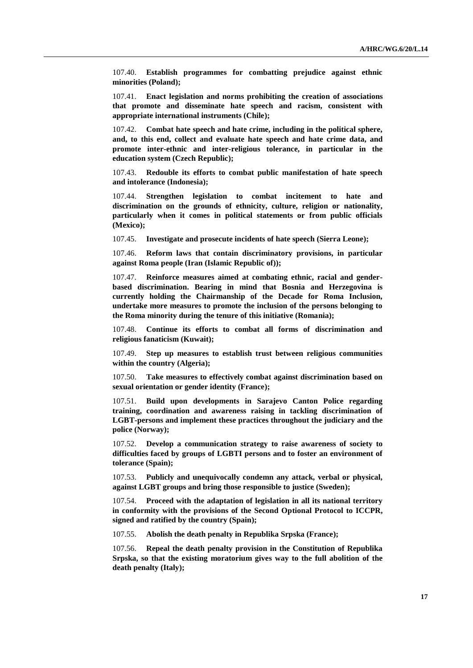107.40. **Establish programmes for combatting prejudice against ethnic minorities (Poland);** 

107.41. **Enact legislation and norms prohibiting the creation of associations that promote and disseminate hate speech and racism, consistent with appropriate international instruments (Chile);** 

107.42. **Combat hate speech and hate crime, including in the political sphere, and, to this end, collect and evaluate hate speech and hate crime data, and promote inter-ethnic and inter-religious tolerance, in particular in the education system (Czech Republic);** 

107.43. **Redouble its efforts to combat public manifestation of hate speech and intolerance (Indonesia);** 

107.44. **Strengthen legislation to combat incitement to hate and discrimination on the grounds of ethnicity, culture, religion or nationality, particularly when it comes in political statements or from public officials (Mexico);** 

107.45. **Investigate and prosecute incidents of hate speech (Sierra Leone);** 

107.46. **Reform laws that contain discriminatory provisions, in particular against Roma people (Iran (Islamic Republic of));** 

107.47. **Reinforce measures aimed at combating ethnic, racial and genderbased discrimination. Bearing in mind that Bosnia and Herzegovina is currently holding the Chairmanship of the Decade for Roma Inclusion, undertake more measures to promote the inclusion of the persons belonging to the Roma minority during the tenure of this initiative (Romania);** 

107.48. **Continue its efforts to combat all forms of discrimination and religious fanaticism (Kuwait);**

107.49. **Step up measures to establish trust between religious communities within the country (Algeria);** 

107.50. **Take measures to effectively combat against discrimination based on sexual orientation or gender identity (France);** 

107.51. **Build upon developments in Sarajevo Canton Police regarding training, coordination and awareness raising in tackling discrimination of LGBT-persons and implement these practices throughout the judiciary and the police (Norway);** 

107.52. **Develop a communication strategy to raise awareness of society to difficulties faced by groups of LGBTI persons and to foster an environment of tolerance (Spain);** 

107.53. **Publicly and unequivocally condemn any attack, verbal or physical, against LGBT groups and bring those responsible to justice (Sweden);** 

107.54. **Proceed with the adaptation of legislation in all its national territory in conformity with the provisions of the Second Optional Protocol to ICCPR, signed and ratified by the country (Spain);** 

107.55. **Abolish the death penalty in Republika Srpska (France);** 

107.56. **Repeal the death penalty provision in the Constitution of Republika Srpska, so that the existing moratorium gives way to the full abolition of the death penalty (Italy);**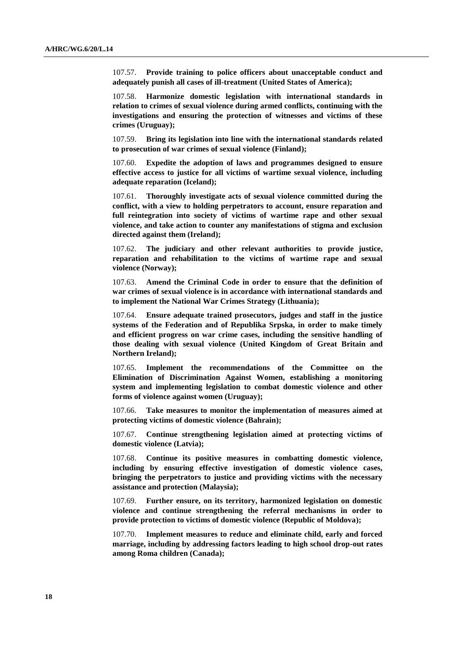107.57. **Provide training to police officers about unacceptable conduct and adequately punish all cases of ill-treatment (United States of America);** 

107.58. **Harmonize domestic legislation with international standards in relation to crimes of sexual violence during armed conflicts, continuing with the investigations and ensuring the protection of witnesses and victims of these crimes (Uruguay);** 

107.59. **Bring its legislation into line with the international standards related to prosecution of war crimes of sexual violence (Finland);**

107.60. **Expedite the adoption of laws and programmes designed to ensure effective access to justice for all victims of wartime sexual violence, including adequate reparation (Iceland);** 

107.61. **Thoroughly investigate acts of sexual violence committed during the conflict, with a view to holding perpetrators to account, ensure reparation and full reintegration into society of victims of wartime rape and other sexual violence, and take action to counter any manifestations of stigma and exclusion directed against them (Ireland);** 

107.62. **The judiciary and other relevant authorities to provide justice, reparation and rehabilitation to the victims of wartime rape and sexual violence (Norway);** 

107.63. **Amend the Criminal Code in order to ensure that the definition of war crimes of sexual violence is in accordance with international standards and to implement the National War Crimes Strategy (Lithuania);** 

107.64. **Ensure adequate trained prosecutors, judges and staff in the justice systems of the Federation and of Republika Srpska, in order to make timely and efficient progress on war crime cases, including the sensitive handling of those dealing with sexual violence (United Kingdom of Great Britain and Northern Ireland);** 

107.65. **Implement the recommendations of the Committee on the Elimination of Discrimination Against Women, establishing a monitoring system and implementing legislation to combat domestic violence and other forms of violence against women (Uruguay);** 

107.66. **Take measures to monitor the implementation of measures aimed at protecting victims of domestic violence (Bahrain);**

107.67. **Continue strengthening legislation aimed at protecting victims of domestic violence (Latvia);** 

107.68. **Continue its positive measures in combatting domestic violence, including by ensuring effective investigation of domestic violence cases, bringing the perpetrators to justice and providing victims with the necessary assistance and protection (Malaysia);** 

107.69. **Further ensure, on its territory, harmonized legislation on domestic violence and continue strengthening the referral mechanisms in order to provide protection to victims of domestic violence (Republic of Moldova);** 

107.70. **Implement measures to reduce and eliminate child, early and forced marriage, including by addressing factors leading to high school drop-out rates among Roma children (Canada);**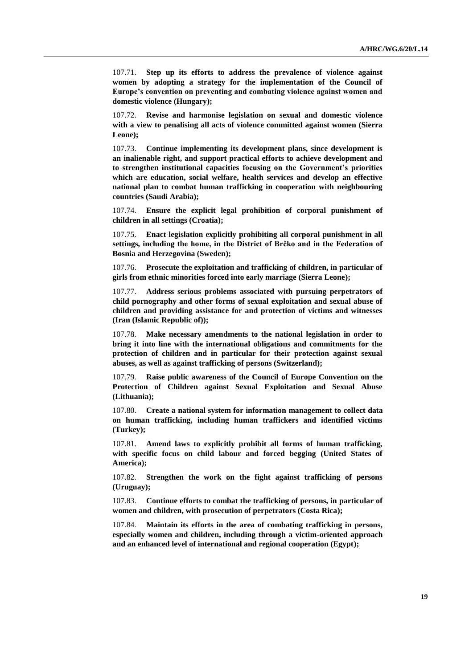107.71. **Step up its efforts to address the prevalence of violence against women by adopting a strategy for the implementation of the Council of Europe's convention on preventing and combating violence against women and domestic violence (Hungary);** 

107.72. **Revise and harmonise legislation on sexual and domestic violence with a view to penalising all acts of violence committed against women (Sierra Leone);** 

107.73. **Continue implementing its development plans, since development is an inalienable right, and support practical efforts to achieve development and to strengthen institutional capacities focusing on the Government's priorities which are education, social welfare, health services and develop an effective national plan to combat human trafficking in cooperation with neighbouring countries (Saudi Arabia);**

107.74. **Ensure the explicit legal prohibition of corporal punishment of children in all settings (Croatia);**

107.75. **Enact legislation explicitly prohibiting all corporal punishment in all settings, including the home, in the District of Brčko and in the Federation of Bosnia and Herzegovina (Sweden);** 

107.76. **Prosecute the exploitation and trafficking of children, in particular of girls from ethnic minorities forced into early marriage (Sierra Leone);** 

107.77. **Address serious problems associated with pursuing perpetrators of child pornography and other forms of sexual exploitation and sexual abuse of children and providing assistance for and protection of victims and witnesses (Iran (Islamic Republic of));** 

107.78. **Make necessary amendments to the national legislation in order to bring it into line with the international obligations and commitments for the protection of children and in particular for their protection against sexual abuses, as well as against trafficking of persons (Switzerland);** 

107.79. **Raise public awareness of the Council of Europe Convention on the Protection of Children against Sexual Exploitation and Sexual Abuse (Lithuania);** 

107.80. **Create a national system for information management to collect data on human trafficking, including human traffickers and identified victims (Turkey);** 

107.81. **Amend laws to explicitly prohibit all forms of human trafficking, with specific focus on child labour and forced begging (United States of America);** 

107.82. **Strengthen the work on the fight against trafficking of persons (Uruguay);**

107.83. **Continue efforts to combat the trafficking of persons, in particular of women and children, with prosecution of perpetrators (Costa Rica);** 

107.84. **Maintain its efforts in the area of combating trafficking in persons, especially women and children, including through a victim-oriented approach and an enhanced level of international and regional cooperation (Egypt);**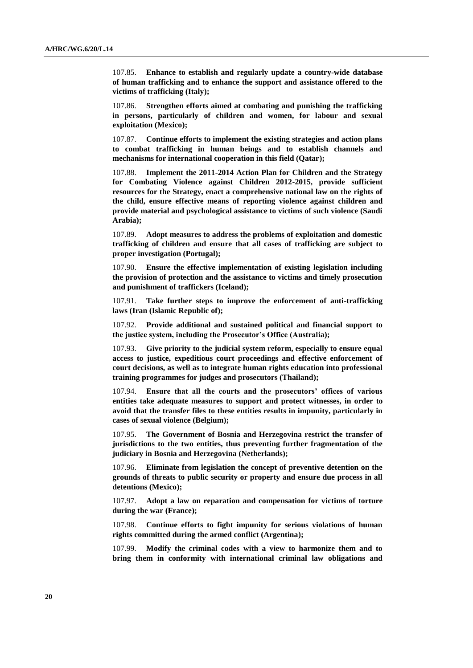107.85. **Enhance to establish and regularly update a country-wide database of human trafficking and to enhance the support and assistance offered to the victims of trafficking (Italy);** 

107.86. **Strengthen efforts aimed at combating and punishing the trafficking in persons, particularly of children and women, for labour and sexual exploitation (Mexico);** 

107.87. **Continue efforts to implement the existing strategies and action plans to combat trafficking in human beings and to establish channels and mechanisms for international cooperation in this field (Qatar);**

107.88. **Implement the 2011-2014 Action Plan for Children and the Strategy for Combating Violence against Children 2012-2015, provide sufficient resources for the Strategy, enact a comprehensive national law on the rights of the child, ensure effective means of reporting violence against children and provide material and psychological assistance to victims of such violence (Saudi Arabia);**

107.89. **Adopt measures to address the problems of exploitation and domestic trafficking of children and ensure that all cases of trafficking are subject to proper investigation (Portugal);**

107.90. **Ensure the effective implementation of existing legislation including the provision of protection and the assistance to victims and timely prosecution and punishment of traffickers (Iceland);** 

107.91. **Take further steps to improve the enforcement of anti-trafficking laws (Iran (Islamic Republic of);** 

107.92. **Provide additional and sustained political and financial support to the justice system, including the Prosecutor's Office (Australia);** 

107.93. **Give priority to the judicial system reform, especially to ensure equal access to justice, expeditious court proceedings and effective enforcement of court decisions, as well as to integrate human rights education into professional training programmes for judges and prosecutors (Thailand);** 

107.94. **Ensure that all the courts and the prosecutors' offices of various entities take adequate measures to support and protect witnesses, in order to avoid that the transfer files to these entities results in impunity, particularly in cases of sexual violence (Belgium);** 

107.95. **The Government of Bosnia and Herzegovina restrict the transfer of jurisdictions to the two entities, thus preventing further fragmentation of the judiciary in Bosnia and Herzegovina (Netherlands);** 

107.96. **Eliminate from legislation the concept of preventive detention on the grounds of threats to public security or property and ensure due process in all detentions (Mexico);** 

107.97. **Adopt a law on reparation and compensation for victims of torture during the war (France);**

107.98. **Continue efforts to fight impunity for serious violations of human rights committed during the armed conflict (Argentina);** 

107.99. **Modify the criminal codes with a view to harmonize them and to bring them in conformity with international criminal law obligations and**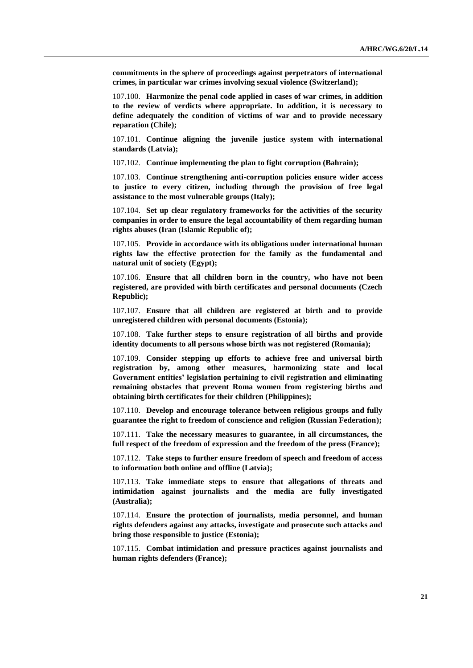**commitments in the sphere of proceedings against perpetrators of international crimes, in particular war crimes involving sexual violence (Switzerland);** 

107.100. **Harmonize the penal code applied in cases of war crimes, in addition to the review of verdicts where appropriate. In addition, it is necessary to define adequately the condition of victims of war and to provide necessary reparation (Chile);** 

107.101. **Continue aligning the juvenile justice system with international standards (Latvia);** 

107.102. **Continue implementing the plan to fight corruption (Bahrain);**

107.103. **Continue strengthening anti-corruption policies ensure wider access to justice to every citizen, including through the provision of free legal assistance to the most vulnerable groups (Italy);** 

107.104. **Set up clear regulatory frameworks for the activities of the security companies in order to ensure the legal accountability of them regarding human rights abuses (Iran (Islamic Republic of);** 

107.105. **Provide in accordance with its obligations under international human rights law the effective protection for the family as the fundamental and natural unit of society (Egypt);** 

107.106. **Ensure that all children born in the country, who have not been registered, are provided with birth certificates and personal documents (Czech Republic);** 

107.107. **Ensure that all children are registered at birth and to provide unregistered children with personal documents (Estonia);** 

107.108. **Take further steps to ensure registration of all births and provide identity documents to all persons whose birth was not registered (Romania);** 

107.109. **Consider stepping up efforts to achieve free and universal birth registration by, among other measures, harmonizing state and local Government entities' legislation pertaining to civil registration and eliminating remaining obstacles that prevent Roma women from registering births and obtaining birth certificates for their children (Philippines);** 

107.110. **Develop and encourage tolerance between religious groups and fully guarantee the right to freedom of conscience and religion (Russian Federation);** 

107.111. **Take the necessary measures to guarantee, in all circumstances, the full respect of the freedom of expression and the freedom of the press (France);** 

107.112. **Take steps to further ensure freedom of speech and freedom of access to information both online and offline (Latvia);** 

107.113. **Take immediate steps to ensure that allegations of threats and intimidation against journalists and the media are fully investigated (Australia);** 

107.114. **Ensure the protection of journalists, media personnel, and human rights defenders against any attacks, investigate and prosecute such attacks and bring those responsible to justice (Estonia);** 

107.115. **Combat intimidation and pressure practices against journalists and human rights defenders (France);**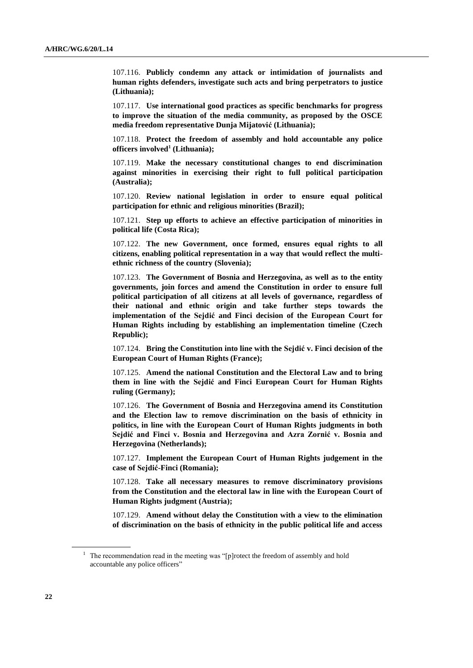107.116. **Publicly condemn any attack or intimidation of journalists and human rights defenders, investigate such acts and bring perpetrators to justice (Lithuania);** 

107.117. **Use international good practices as specific benchmarks for progress to improve the situation of the media community, as proposed by the OSCE media freedom representative Dunja Mijatović (Lithuania);** 

107.118. **Protect the freedom of assembly and hold accountable any police officers involved<sup>1</sup> (Lithuania);** 

107.119. **Make the necessary constitutional changes to end discrimination against minorities in exercising their right to full political participation (Australia);** 

107.120. **Review national legislation in order to ensure equal political participation for ethnic and religious minorities (Brazil);** 

107.121. **Step up efforts to achieve an effective participation of minorities in political life (Costa Rica);** 

107.122. **The new Government, once formed, ensures equal rights to all citizens, enabling political representation in a way that would reflect the multiethnic richness of the country (Slovenia);** 

107.123. **The Government of Bosnia and Herzegovina, as well as to the entity governments, join forces and amend the Constitution in order to ensure full political participation of all citizens at all levels of governance, regardless of their national and ethnic origin and take further steps towards the implementation of the Sejdić and Finci decision of the European Court for Human Rights including by establishing an implementation timeline (Czech Republic);** 

107.124. **Bring the Constitution into line with the Sejdić v. Finci decision of the European Court of Human Rights (France);** 

107.125. **Amend the national Constitution and the Electoral Law and to bring them in line with the Sejdić and Finci European Court for Human Rights ruling (Germany);** 

107.126. **The Government of Bosnia and Herzegovina amend its Constitution and the Election law to remove discrimination on the basis of ethnicity in politics, in line with the European Court of Human Rights judgments in both Sejdić and Finci v. Bosnia and Herzegovina and Azra Zornić v. Bosnia and Herzegovina (Netherlands);** 

107.127. **Implement the European Court of Human Rights judgement in the case of Sejdić-Finci (Romania);** 

107.128. **Take all necessary measures to remove discriminatory provisions from the Constitution and the electoral law in line with the European Court of Human Rights judgment (Austria);** 

107.129. **Amend without delay the Constitution with a view to the elimination of discrimination on the basis of ethnicity in the public political life and access** 

<sup>&</sup>lt;sup>1</sup> The recommendation read in the meeting was "[p]rotect the freedom of assembly and hold accountable any police officers"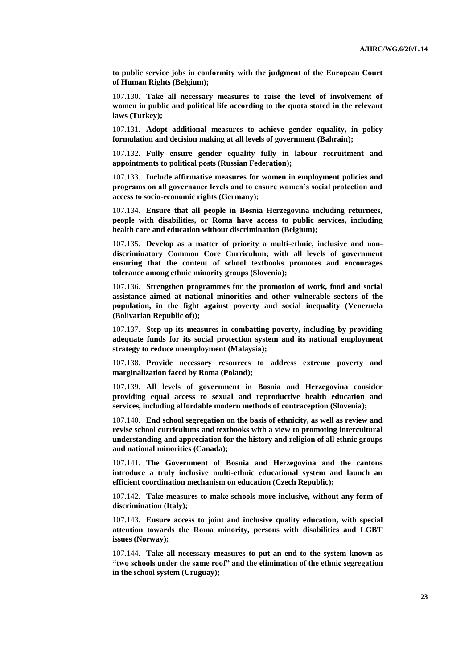**to public service jobs in conformity with the judgment of the European Court of Human Rights (Belgium);** 

107.130. **Take all necessary measures to raise the level of involvement of women in public and political life according to the quota stated in the relevant laws (Turkey);** 

107.131. **Adopt additional measures to achieve gender equality, in policy formulation and decision making at all levels of government (Bahrain);**

107.132. **Fully ensure gender equality fully in labour recruitment and appointments to political posts (Russian Federation);** 

107.133. **Include affirmative measures for women in employment policies and programs on all governance levels and to ensure women's social protection and access to socio-economic rights (Germany);** 

107.134. **Ensure that all people in Bosnia Herzegovina including returnees, people with disabilities, or Roma have access to public services, including health care and education without discrimination (Belgium);** 

107.135. **Develop as a matter of priority a multi-ethnic, inclusive and nondiscriminatory Common Core Curriculum; with all levels of government ensuring that the content of school textbooks promotes and encourages tolerance among ethnic minority groups (Slovenia);**

107.136. **Strengthen programmes for the promotion of work, food and social assistance aimed at national minorities and other vulnerable sectors of the population, in the fight against poverty and social inequality (Venezuela (Bolivarian Republic of));** 

107.137. **Step-up its measures in combatting poverty, including by providing adequate funds for its social protection system and its national employment strategy to reduce unemployment (Malaysia);** 

107.138. **Provide necessary resources to address extreme poverty and marginalization faced by Roma (Poland);** 

107.139. **All levels of government in Bosnia and Herzegovina consider providing equal access to sexual and reproductive health education and services, including affordable modern methods of contraception (Slovenia);** 

107.140. **End school segregation on the basis of ethnicity, as well as review and revise school curriculums and textbooks with a view to promoting intercultural understanding and appreciation for the history and religion of all ethnic groups and national minorities (Canada);** 

107.141. **The Government of Bosnia and Herzegovina and the cantons introduce a truly inclusive multi-ethnic educational system and launch an efficient coordination mechanism on education (Czech Republic);** 

107.142. **Take measures to make schools more inclusive, without any form of discrimination (Italy);** 

107.143. **Ensure access to joint and inclusive quality education, with special attention towards the Roma minority, persons with disabilities and LGBT issues (Norway);** 

107.144. **Take all necessary measures to put an end to the system known as "two schools under the same roof" and the elimination of the ethnic segregation in the school system (Uruguay);**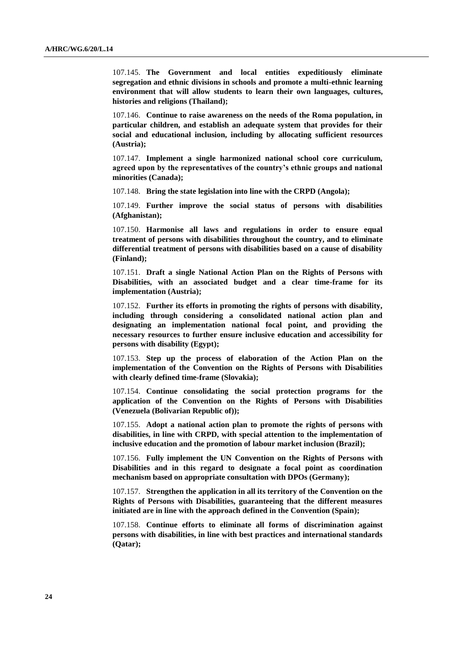107.145. **The Government and local entities expeditiously eliminate segregation and ethnic divisions in schools and promote a multi-ethnic learning environment that will allow students to learn their own languages, cultures, histories and religions (Thailand);** 

107.146. **Continue to raise awareness on the needs of the Roma population, in particular children, and establish an adequate system that provides for their social and educational inclusion, including by allocating sufficient resources (Austria);** 

107.147. **Implement a single harmonized national school core curriculum, agreed upon by the representatives of the country's ethnic groups and national minorities (Canada);** 

107.148. **Bring the state legislation into line with the CRPD (Angola);** 

107.149. **Further improve the social status of persons with disabilities (Afghanistan);** 

107.150. **Harmonise all laws and regulations in order to ensure equal treatment of persons with disabilities throughout the country, and to eliminate differential treatment of persons with disabilities based on a cause of disability (Finland);** 

107.151. **Draft a single National Action Plan on the Rights of Persons with Disabilities, with an associated budget and a clear time-frame for its implementation (Austria);** 

107.152. **Further its efforts in promoting the rights of persons with disability, including through considering a consolidated national action plan and designating an implementation national focal point, and providing the necessary resources to further ensure inclusive education and accessibility for persons with disability (Egypt);** 

107.153. **Step up the process of elaboration of the Action Plan on the implementation of the Convention on the Rights of Persons with Disabilities with clearly defined time-frame (Slovakia);** 

107.154. **Continue consolidating the social protection programs for the application of the Convention on the Rights of Persons with Disabilities (Venezuela (Bolivarian Republic of));** 

107.155. **Adopt a national action plan to promote the rights of persons with disabilities, in line with CRPD, with special attention to the implementation of inclusive education and the promotion of labour market inclusion (Brazil);** 

107.156. **Fully implement the UN Convention on the Rights of Persons with Disabilities and in this regard to designate a focal point as coordination mechanism based on appropriate consultation with DPOs (Germany);** 

107.157. **Strengthen the application in all its territory of the Convention on the Rights of Persons with Disabilities, guaranteeing that the different measures initiated are in line with the approach defined in the Convention (Spain);** 

107.158. **Continue efforts to eliminate all forms of discrimination against persons with disabilities, in line with best practices and international standards (Qatar);**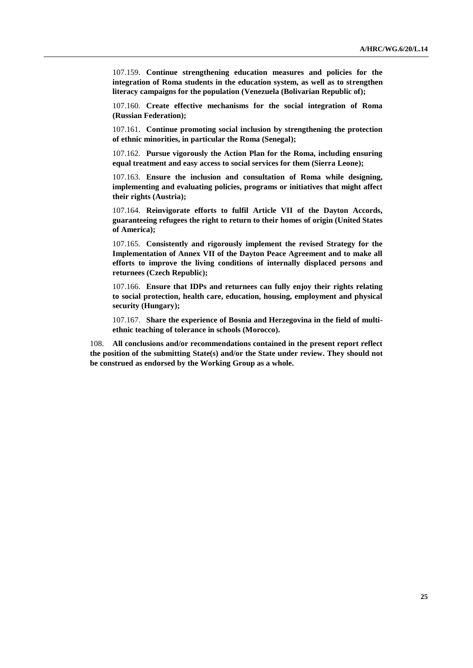107.159. **Continue strengthening education measures and policies for the integration of Roma students in the education system, as well as to strengthen literacy campaigns for the population (Venezuela (Bolivarian Republic of);** 

107.160. **Create effective mechanisms for the social integration of Roma (Russian Federation);** 

107.161. **Continue promoting social inclusion by strengthening the protection of ethnic minorities, in particular the Roma (Senegal);** 

107.162. **Pursue vigorously the Action Plan for the Roma, including ensuring equal treatment and easy access to social services for them (Sierra Leone);** 

107.163. **Ensure the inclusion and consultation of Roma while designing, implementing and evaluating policies, programs or initiatives that might affect their rights (Austria);** 

107.164. **Reinvigorate efforts to fulfil Article VII of the Dayton Accords, guaranteeing refugees the right to return to their homes of origin (United States of America);** 

107.165. **Consistently and rigorously implement the revised Strategy for the Implementation of Annex VII of the Dayton Peace Agreement and to make all efforts to improve the living conditions of internally displaced persons and returnees (Czech Republic);** 

107.166. **Ensure that IDPs and returnees can fully enjoy their rights relating to social protection, health care, education, housing, employment and physical security (Hungary);** 

107.167. **Share the experience of Bosnia and Herzegovina in the field of multiethnic teaching of tolerance in schools (Morocco).**

108. **All conclusions and/or recommendations contained in the present report reflect the position of the submitting State(s) and/or the State under review. They should not be construed as endorsed by the Working Group as a whole.**